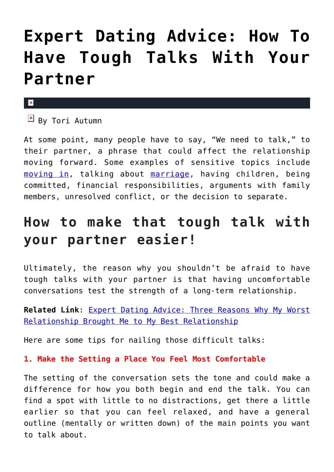# **[Expert Dating Advice: How To](https://cupidspulse.com/132974/expert-dating-advice-tough-talks-with-partner/) [Have Tough Talks With Your](https://cupidspulse.com/132974/expert-dating-advice-tough-talks-with-partner/) [Partner](https://cupidspulse.com/132974/expert-dating-advice-tough-talks-with-partner/)**

#### $\pmb{\times}$

 $\boxed{\times}$  By Tori Autumn

At some point, many people have to say, "We need to talk," to their partner, a phrase that could affect the relationship moving forward. Some examples of sensitive topics include [moving in,](http://cupidspulse.com/127215/expert-dating-advice-ready-move-together/) talking about [marriage](http://cupidspulse.com/132749/relationship-advice-an-unconventional-marriage/), having children, being committed, financial responsibilities, arguments with family members, unresolved conflict, or the decision to separate.

# **How to make that tough talk with your partner easier!**

Ultimately, the reason why you shouldn't be afraid to have tough talks with your partner is that having uncomfortable conversations test the strength of a long-term relationship.

**Related Link**: [Expert Dating Advice: Three Reasons Why My Worst](http://cupidspulse.com/132639/expert-dating-advice-my-worst-relationship-brought-me-my-best-relationship/#7C2o5D2OX2p1VwqA.99) [Relationship Brought Me to My Best Relationship](http://cupidspulse.com/132639/expert-dating-advice-my-worst-relationship-brought-me-my-best-relationship/#7C2o5D2OX2p1VwqA.99)

Here are some tips for nailing those difficult talks:

### **1. Make the Setting a Place You Feel Most Comfortable**

The setting of the conversation sets the tone and could make a difference for how you both begin and end the talk. You can find a spot with little to no distractions, get there a little earlier so that you can feel relaxed, and have a general outline (mentally or written down) of the main points you want to talk about.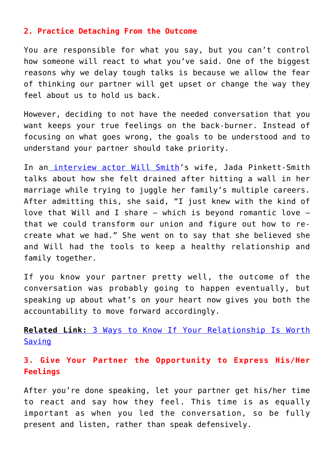#### **2. Practice Detaching From the Outcome**

You are responsible for what you say, but you can't control how someone will react to what you've said. One of the biggest reasons why we delay tough talks is because we allow the fear of thinking our partner will get upset or change the way they feel about us to hold us back.

However, deciding to not have the needed conversation that you want keeps your true feelings on the back-burner. Instead of focusing on what goes wrong, the goals to be understood and to understand your partner should take priority.

In an [interview actor](https://people.com/movies/jada-pinkett-smith-will-smith-marriage-beautiful-place-tough-times/) [Will Smith](http://cupidspulse.com/tag/will-smith/)'s wife, Jada Pinkett-Smith talks about how she felt drained after hitting a wall in her marriage while trying to juggle her family's multiple careers. After admitting this, she said, "I just knew with the kind of love that Will and I share — which is beyond romantic love that we could transform our union and figure out how to recreate what we had." She went on to say that she believed she and Will had the tools to keep a healthy relationship and family together.

If you know your partner pretty well, the outcome of the conversation was probably going to happen eventually, but speaking up about what's on your heart now gives you both the accountability to move forward accordingly.

**[Related Link:](http://cupidspulse.com/131656/dating-advice-ways-to-know-relationship-worth-saving/#BTLlOuJarPB54fw5.99)** [3 Ways to Know If Your Relationship Is Worth](http://cupidspulse.com/131656/dating-advice-ways-to-know-relationship-worth-saving/#BTLlOuJarPB54fw5.99) [Saving](http://cupidspulse.com/131656/dating-advice-ways-to-know-relationship-worth-saving/#BTLlOuJarPB54fw5.99)

## **3. Give Your Partner the Opportunity to Express His/Her Feelings**

After you're done speaking, let your partner get his/her time to react and say how they feel. This time is as equally important as when you led the conversation, so be fully present and listen, rather than speak defensively.